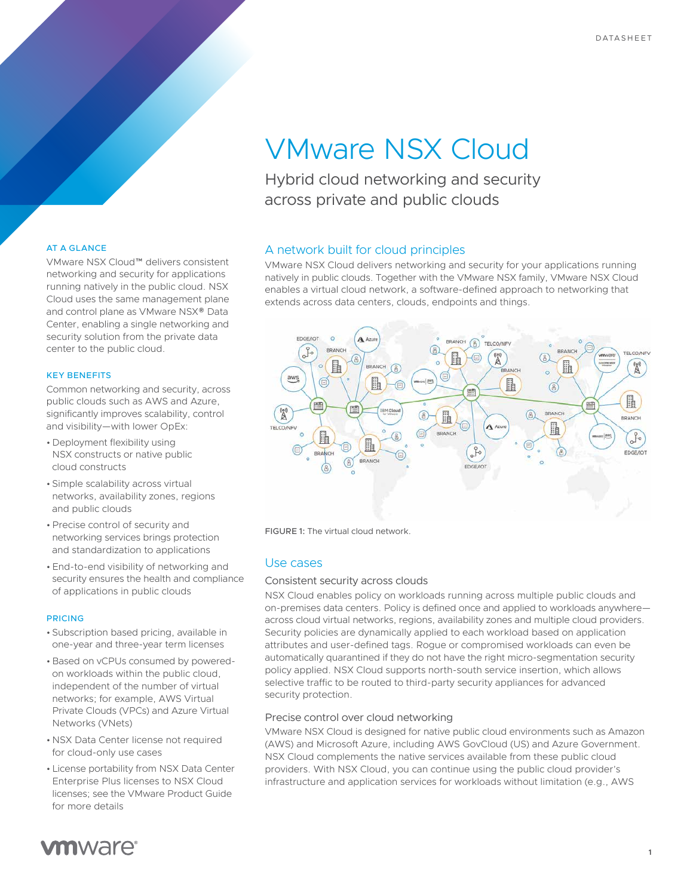# VMware NSX Cloud

Hybrid cloud networking and security across private and public clouds

### A network built for cloud principles

VMware NSX Cloud delivers networking and security for your applications running natively in public clouds. Together with the VMware NSX family, VMware NSX Cloud enables a virtual cloud network, a software-defined approach to networking that extends across data centers, clouds, endpoints and things.



FIGURE 1: The virtual cloud network.

#### Use cases

#### Consistent security across clouds

NSX Cloud enables policy on workloads running across multiple public clouds and on-premises data centers. Policy is defined once and applied to workloads anywhere across cloud virtual networks, regions, availability zones and multiple cloud providers. Security policies are dynamically applied to each workload based on application attributes and user-defined tags. Rogue or compromised workloads can even be automatically quarantined if they do not have the right micro-segmentation security policy applied. NSX Cloud supports north-south service insertion, which allows selective traffic to be routed to third-party security appliances for advanced security protection.

#### Precise control over cloud networking

VMware NSX Cloud is designed for native public cloud environments such as Amazon (AWS) and Microsoft Azure, including AWS GovCloud (US) and Azure Government. NSX Cloud complements the native services available from these public cloud providers. With NSX Cloud, you can continue using the public cloud provider's infrastructure and application services for workloads without limitation (e.g., AWS

# AT A GLANCE

VMware NSX Cloud™ delivers consistent networking and security for applications running natively in the public cloud. NSX Cloud uses the same management plane and control plane as VMware NSX® Data Center, enabling a single networking and security solution from the private data center to the public cloud.

#### KEY BENEFITS

Common networking and security, across public clouds such as AWS and Azure, significantly improves scalability, control and visibility—with lower OpEx:

- Deployment flexibility using NSX constructs or native public cloud constructs
- Simple scalability across virtual networks, availability zones, regions and public clouds
- •Precise control of security and networking services brings protection and standardization to applications
- End-to-end visibility of networking and security ensures the health and compliance of applications in public clouds

#### PRICING

- Subscription based pricing, available in one-year and three-year term licenses
- Based on vCPUs consumed by poweredon workloads within the public cloud, independent of the number of virtual networks; for example, AWS Virtual Private Clouds (VPCs) and Azure Virtual Networks (VNets)
- NSX Data Center license not required for cloud-only use cases
- License portability from NSX Data Center Enterprise Plus licenses to NSX Cloud licenses; see the VMware Product Guide for more details

# **vm**ware<sup>®</sup>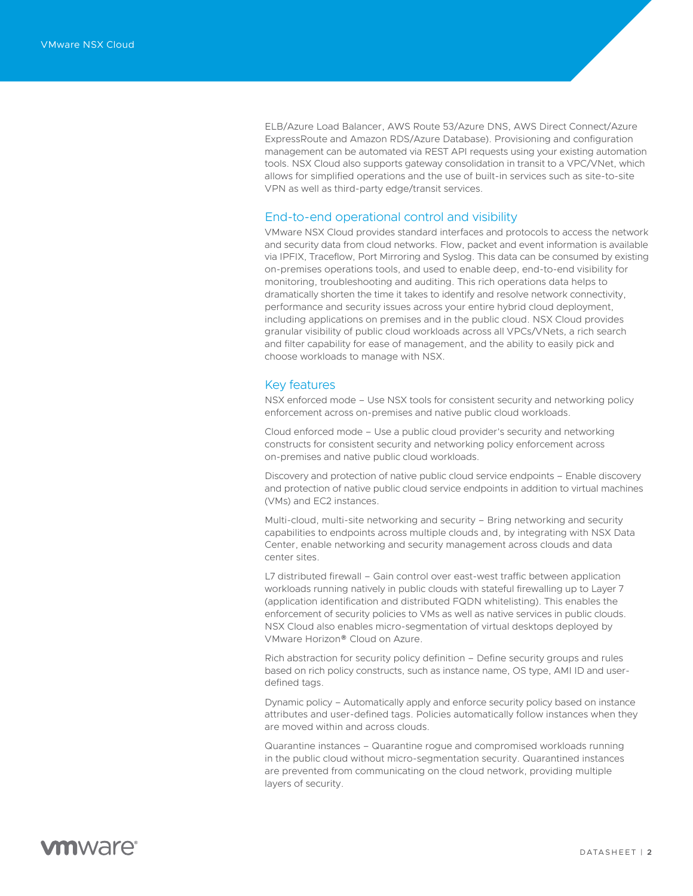ELB/Azure Load Balancer, AWS Route 53/Azure DNS, AWS Direct Connect/Azure ExpressRoute and Amazon RDS/Azure Database). Provisioning and configuration management can be automated via REST API requests using your existing automation tools. NSX Cloud also supports gateway consolidation in transit to a VPC/VNet, which allows for simplified operations and the use of built-in services such as site-to-site VPN as well as third-party edge/transit services.

### End-to-end operational control and visibility

VMware NSX Cloud provides standard interfaces and protocols to access the network and security data from cloud networks. Flow, packet and event information is available via IPFIX, Traceflow, Port Mirroring and Syslog. This data can be consumed by existing on-premises operations tools, and used to enable deep, end-to-end visibility for monitoring, troubleshooting and auditing. This rich operations data helps to dramatically shorten the time it takes to identify and resolve network connectivity, performance and security issues across your entire hybrid cloud deployment, including applications on premises and in the public cloud. NSX Cloud provides granular visibility of public cloud workloads across all VPCs/VNets, a rich search and filter capability for ease of management, and the ability to easily pick and choose workloads to manage with NSX.

## Key features

NSX enforced mode – Use NSX tools for consistent security and networking policy enforcement across on-premises and native public cloud workloads.

Cloud enforced mode – Use a public cloud provider's security and networking constructs for consistent security and networking policy enforcement across on-premises and native public cloud workloads.

Discovery and protection of native public cloud service endpoints – Enable discovery and protection of native public cloud service endpoints in addition to virtual machines (VMs) and EC2 instances.

Multi-cloud, multi-site networking and security – Bring networking and security capabilities to endpoints across multiple clouds and, by integrating with NSX Data Center, enable networking and security management across clouds and data center sites.

L7 distributed firewall – Gain control over east-west traffic between application workloads running natively in public clouds with stateful firewalling up to Layer 7 (application identification and distributed FQDN whitelisting). This enables the enforcement of security policies to VMs as well as native services in public clouds. NSX Cloud also enables micro-segmentation of virtual desktops deployed by VMware Horizon® Cloud on Azure.

Rich abstraction for security policy definition – Define security groups and rules based on rich policy constructs, such as instance name, OS type, AMI ID and userdefined tags.

Dynamic policy – Automatically apply and enforce security policy based on instance attributes and user-defined tags. Policies automatically follow instances when they are moved within and across clouds.

Quarantine instances – Quarantine rogue and compromised workloads running in the public cloud without micro-segmentation security. Quarantined instances are prevented from communicating on the cloud network, providing multiple layers of security.

# **vm**ware<sup>®</sup>